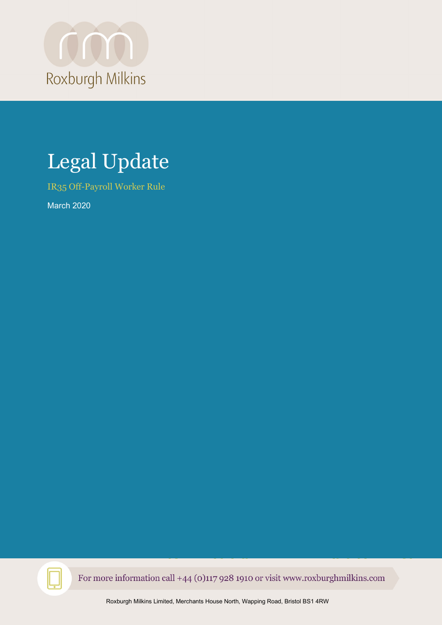

# Legal Update

IR35 Off-Payroll Worker Rule

March 2020

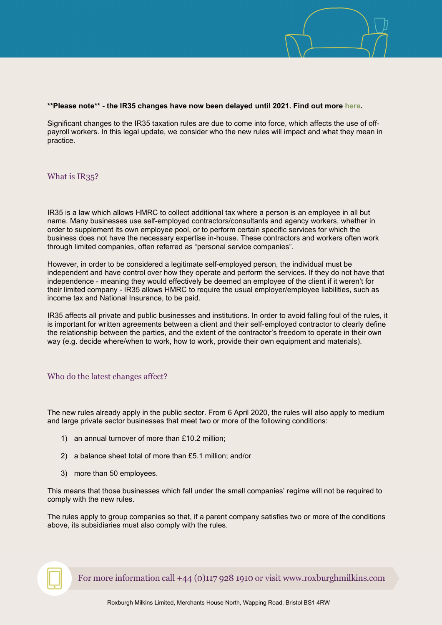

#### **\*\*Please note\*\* - the IR35 changes have now been delayed until 2021. Find out more [here.](https://www.gov.uk/government/news/off-payroll-working-rules-reforms-postponed-until-2021)**

Significant changes to the IR35 taxation rules are due to come into force, which affects the use of offpayroll workers. In this legal update, we consider who the new rules will impact and what they mean in practice.

### What is IR35?

IR35 is a law which allows HMRC to collect additional tax where a person is an employee in all but name. Many businesses use self-employed contractors/consultants and agency workers, whether in order to supplement its own employee pool, or to perform certain specific services for which the business does not have the necessary expertise in-house. These contractors and workers often work through limited companies, often referred as "personal service companies".

However, in order to be considered a legitimate self-employed person, the individual must be independent and have control over how they operate and perform the services. If they do not have that independence - meaning they would effectively be deemed an employee of the client if it weren't for their limited company - IR35 allows HMRC to require the usual employer/employee liabilities, such as income tax and National Insurance, to be paid.

IR35 affects all private and public businesses and institutions. In order to avoid falling foul of the rules, it is important for written agreements between a client and their self-employed contractor to clearly define the relationship between the parties, and the extent of the contractor's freedom to operate in their own way (e.g. decide where/when to work, how to work, provide their own equipment and materials).

### Who do the latest changes affect?

The new rules already apply in the public sector. From 6 April 2020, the rules will also apply to medium and large private sector businesses that meet two or more of the following conditions:

- 1) an annual turnover of more than £10.2 million;
- 2) a balance sheet total of more than £5.1 million; and/or
- 3) more than 50 employees.

This means that those businesses which fall under the small companies' regime will not be required to comply with the new rules.

The rules apply to group companies so that, if a parent company satisfies two or more of the conditions above, its subsidiaries must also comply with the rules.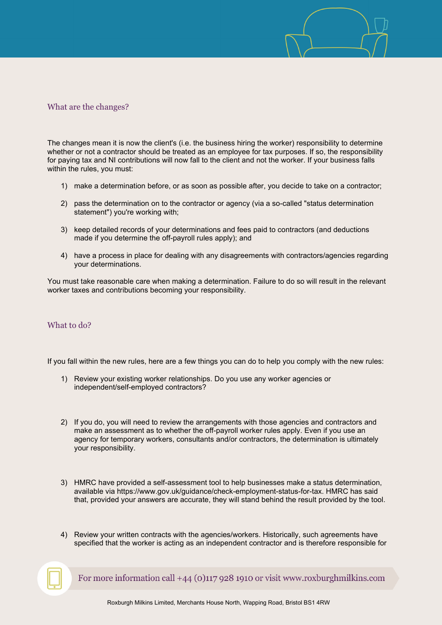## What are the changes?

The changes mean it is now the client's (i.e. the business hiring the worker) responsibility to determine whether or not a contractor should be treated as an employee for tax purposes. If so, the responsibility for paying tax and NI contributions will now fall to the client and not the worker. If your business falls within the rules, you must:

- 1) make a determination before, or as soon as possible after, you decide to take on a contractor;
- 2) pass the determination on to the contractor or agency (via a so-called "status determination statement") you're working with;
- 3) keep detailed records of your determinations and fees paid to contractors (and deductions made if you determine the off-payroll rules apply); and
- 4) have a process in place for dealing with any disagreements with contractors/agencies regarding your determinations.

You must take reasonable care when making a determination. Failure to do so will result in the relevant worker taxes and contributions becoming your responsibility.

### What to do?

If you fall within the new rules, here are a few things you can do to help you comply with the new rules:

- 1) Review your existing worker relationships. Do you use any worker agencies or independent/self-employed contractors?
- 2) If you do, you will need to review the arrangements with those agencies and contractors and make an assessment as to whether the off-payroll worker rules apply. Even if you use an agency for temporary workers, consultants and/or contractors, the determination is ultimately your responsibility.
- 3) HMRC have provided a self-assessment tool to help businesses make a status determination, available via https://www.gov.uk/guidance/check-employment-status-for-tax. HMRC has said that, provided your answers are accurate, they will stand behind the result provided by the tool.
- 4) Review your written contracts with the agencies/workers. Historically, such agreements have specified that the worker is acting as an independent contractor and is therefore responsible for